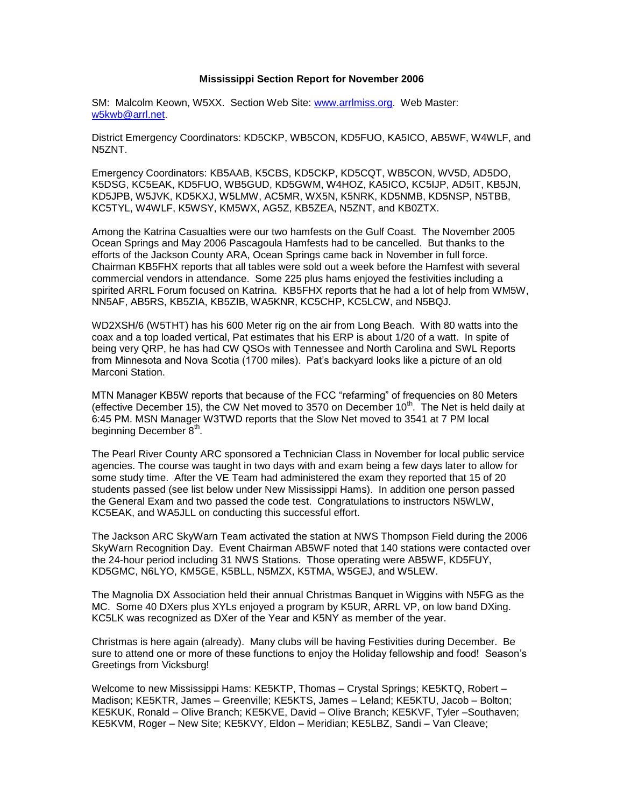## **Mississippi Section Report for November 2006**

SM: Malcolm Keown, W5XX. Section Web Site: [www.arrlmiss.org.](http://www.arrlmiss.org/) Web Master: [w5kwb@arrl.net.](mailto:w5kwb@arrl.net)

District Emergency Coordinators: KD5CKP, WB5CON, KD5FUO, KA5ICO, AB5WF, W4WLF, and N5ZNT.

Emergency Coordinators: KB5AAB, K5CBS, KD5CKP, KD5CQT, WB5CON, WV5D, AD5DO, K5DSG, KC5EAK, KD5FUO, WB5GUD, KD5GWM, W4HOZ, KA5ICO, KC5IJP, AD5IT, KB5JN, KD5JPB, W5JVK, KD5KXJ, W5LMW, AC5MR, WX5N, K5NRK, KD5NMB, KD5NSP, N5TBB, KC5TYL, W4WLF, K5WSY, KM5WX, AG5Z, KB5ZEA, N5ZNT, and KB0ZTX.

Among the Katrina Casualties were our two hamfests on the Gulf Coast. The November 2005 Ocean Springs and May 2006 Pascagoula Hamfests had to be cancelled. But thanks to the efforts of the Jackson County ARA, Ocean Springs came back in November in full force. Chairman KB5FHX reports that all tables were sold out a week before the Hamfest with several commercial vendors in attendance. Some 225 plus hams enjoyed the festivities including a spirited ARRL Forum focused on Katrina. KB5FHX reports that he had a lot of help from WM5W, NN5AF, AB5RS, KB5ZIA, KB5ZIB, WA5KNR, KC5CHP, KC5LCW, and N5BQJ.

WD2XSH/6 (W5THT) has his 600 Meter rig on the air from Long Beach. With 80 watts into the coax and a top loaded vertical, Pat estimates that his ERP is about 1/20 of a watt. In spite of being very QRP, he has had CW QSOs with Tennessee and North Carolina and SWL Reports from Minnesota and Nova Scotia (1700 miles). Pat's backyard looks like a picture of an old Marconi Station.

MTN Manager KB5W reports that because of the FCC "refarming" of frequencies on 80 Meters (effective December 15), the CW Net moved to 3570 on December  $10<sup>th</sup>$ . The Net is held daily at 6:45 PM. MSN Manager W3TWD reports that the Slow Net moved to 3541 at 7 PM local beginning December  $8<sup>th</sup>$ .

The Pearl River County ARC sponsored a Technician Class in November for local public service agencies. The course was taught in two days with and exam being a few days later to allow for some study time. After the VE Team had administered the exam they reported that 15 of 20 students passed (see list below under New Mississippi Hams). In addition one person passed the General Exam and two passed the code test. Congratulations to instructors N5WLW, KC5EAK, and WA5JLL on conducting this successful effort.

The Jackson ARC SkyWarn Team activated the station at NWS Thompson Field during the 2006 SkyWarn Recognition Day. Event Chairman AB5WF noted that 140 stations were contacted over the 24-hour period including 31 NWS Stations. Those operating were AB5WF, KD5FUY, KD5GMC, N6LYO, KM5GE, K5BLL, N5MZX, K5TMA, W5GEJ, and W5LEW.

The Magnolia DX Association held their annual Christmas Banquet in Wiggins with N5FG as the MC. Some 40 DXers plus XYLs enjoyed a program by K5UR, ARRL VP, on low band DXing. KC5LK was recognized as DXer of the Year and K5NY as member of the year.

Christmas is here again (already). Many clubs will be having Festivities during December. Be sure to attend one or more of these functions to enjoy the Holiday fellowship and food! Season's Greetings from Vicksburg!

Welcome to new Mississippi Hams: KE5KTP, Thomas – Crystal Springs; KE5KTQ, Robert – Madison; KE5KTR, James – Greenville; KE5KTS, James – Leland; KE5KTU, Jacob – Bolton; KE5KUK, Ronald – Olive Branch; KE5KVE, David – Olive Branch; KE5KVF, Tyler –Southaven; KE5KVM, Roger – New Site; KE5KVY, Eldon – Meridian; KE5LBZ, Sandi – Van Cleave;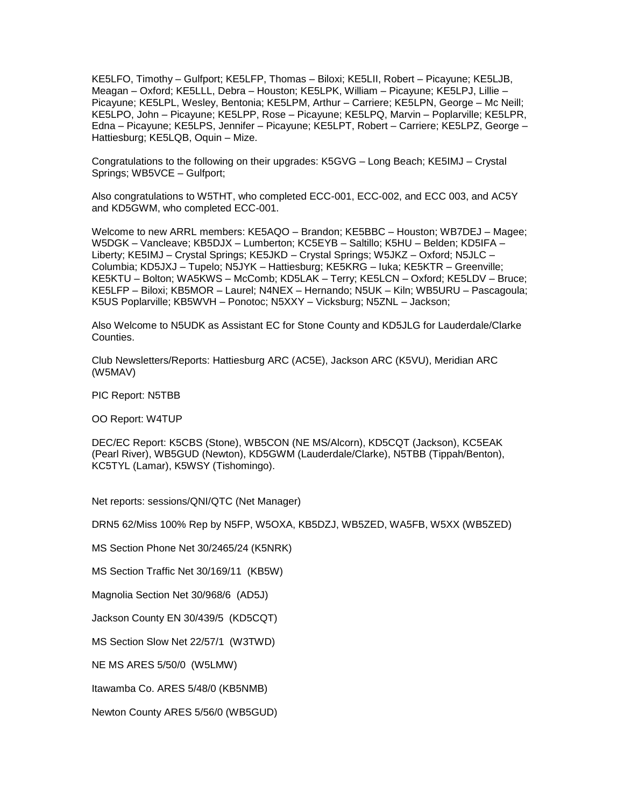KE5LFO, Timothy – Gulfport; KE5LFP, Thomas – Biloxi; KE5LII, Robert – Picayune; KE5LJB, Meagan – Oxford; KE5LLL, Debra – Houston; KE5LPK, William – Picayune; KE5LPJ, Lillie – Picayune; KE5LPL, Wesley, Bentonia; KE5LPM, Arthur – Carriere; KE5LPN, George – Mc Neill; KE5LPO, John – Picayune; KE5LPP, Rose – Picayune; KE5LPQ, Marvin – Poplarville; KE5LPR, Edna – Picayune; KE5LPS, Jennifer – Picayune; KE5LPT, Robert – Carriere; KE5LPZ, George – Hattiesburg; KE5LQB, Oquin – Mize.

Congratulations to the following on their upgrades: K5GVG – Long Beach; KE5IMJ – Crystal Springs; WB5VCE – Gulfport;

Also congratulations to W5THT, who completed ECC-001, ECC-002, and ECC 003, and AC5Y and KD5GWM, who completed ECC-001.

Welcome to new ARRL members: KE5AQO – Brandon; KE5BBC – Houston; WB7DEJ – Magee; W5DGK – Vancleave; KB5DJX – Lumberton; KC5EYB – Saltillo; K5HU – Belden; KD5IFA – Liberty; KE5IMJ – Crystal Springs; KE5JKD – Crystal Springs; W5JKZ – Oxford; N5JLC – Columbia; KD5JXJ – Tupelo; N5JYK – Hattiesburg; KE5KRG – Iuka; KE5KTR – Greenville; KE5KTU – Bolton; WA5KWS – McComb; KD5LAK – Terry; KE5LCN – Oxford; KE5LDV – Bruce; KE5LFP – Biloxi; KB5MOR – Laurel; N4NEX – Hernando; N5UK – Kiln; WB5URU – Pascagoula; K5US Poplarville; KB5WVH – Ponotoc; N5XXY – Vicksburg; N5ZNL – Jackson;

Also Welcome to N5UDK as Assistant EC for Stone County and KD5JLG for Lauderdale/Clarke Counties.

Club Newsletters/Reports: Hattiesburg ARC (AC5E), Jackson ARC (K5VU), Meridian ARC (W5MAV)

PIC Report: N5TBB

OO Report: W4TUP

DEC/EC Report: K5CBS (Stone), WB5CON (NE MS/Alcorn), KD5CQT (Jackson), KC5EAK (Pearl River), WB5GUD (Newton), KD5GWM (Lauderdale/Clarke), N5TBB (Tippah/Benton), KC5TYL (Lamar), K5WSY (Tishomingo).

Net reports: sessions/QNI/QTC (Net Manager)

DRN5 62/Miss 100% Rep by N5FP, W5OXA, KB5DZJ, WB5ZED, WA5FB, W5XX (WB5ZED)

MS Section Phone Net 30/2465/24 (K5NRK)

MS Section Traffic Net 30/169/11 (KB5W)

Magnolia Section Net 30/968/6 (AD5J)

Jackson County EN 30/439/5 (KD5CQT)

MS Section Slow Net 22/57/1 (W3TWD)

NE MS ARES 5/50/0 (W5LMW)

Itawamba Co. ARES 5/48/0 (KB5NMB)

Newton County ARES 5/56/0 (WB5GUD)